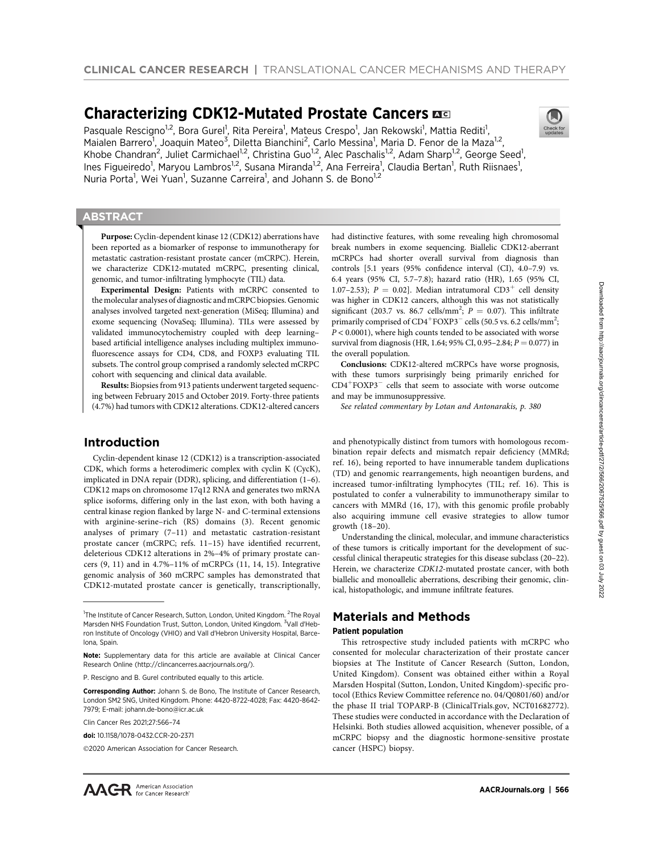# Characterizing CDK12-Mutated Prostate Cancers  $\overline{a}$

Pasquale Rescigno<sup>1,2</sup>, Bora Gurel<sup>1</sup>, Rita Pereira<sup>1</sup>, Mateus Crespo<sup>1</sup>, Jan Rekowski<sup>1</sup>, Mattia Rediti<sup>1</sup>, Maialen Barrero<sup>1</sup>, Joaquin Mateo<sup>3</sup>, Diletta Bianchini<sup>2</sup>, Carlo Messina<sup>1</sup>, Maria D. Fenor de la Maza<sup>1,2</sup>, Khobe Chandran<sup>2</sup>, Juliet Carmichael<sup>1,2</sup>, Christina Guo<sup>1,2</sup>, Alec Paschalis<sup>1,2</sup>, Adam Sharp<sup>1,2</sup>, George Seed<sup>1</sup>, Ines Figueiredo<sup>1</sup>, Maryou Lambros<sup>1,2</sup>, Susana Miranda<sup>1,2</sup>, Ana Ferreira<sup>1</sup>, Claudia Bertan<sup>1</sup>, Ruth Riisnaes<sup>1</sup>, Nuria Porta<sup>1</sup>, Wei Yuan<sup>1</sup>, Suzanne Carreira<sup>1</sup>, and Johann S. de Bono<sup>1,2</sup>

## **ABSTRACT**

◥

Purpose: Cyclin-dependent kinase 12 (CDK12) aberrations have been reported as a biomarker of response to immunotherapy for metastatic castration-resistant prostate cancer (mCRPC). Herein, we characterize CDK12-mutated mCRPC, presenting clinical, genomic, and tumor-infiltrating lymphocyte (TIL) data.

Experimental Design: Patients with mCRPC consented to the molecular analyses of diagnostic and mCRPC biopsies. Genomic analyses involved targeted next-generation (MiSeq; Illumina) and exome sequencing (NovaSeq; Illumina). TILs were assessed by validated immunocytochemistry coupled with deep learning– based artificial intelligence analyses including multiplex immunofluorescence assays for CD4, CD8, and FOXP3 evaluating TIL subsets. The control group comprised a randomly selected mCRPC cohort with sequencing and clinical data available.

Results: Biopsies from 913 patients underwent targeted sequencing between February 2015 and October 2019. Forty-three patients (4.7%) had tumors with CDK12 alterations. CDK12-altered cancers

## Introduction

Cyclin-dependent kinase 12 (CDK12) is a transcription-associated CDK, which forms a heterodimeric complex with cyclin K (CycK), implicated in DNA repair (DDR), splicing, and differentiation (1–6). CDK12 maps on chromosome 17q12 RNA and generates two mRNA splice isoforms, differing only in the last exon, with both having a central kinase region flanked by large N- and C-terminal extensions with arginine-serine–rich (RS) domains (3). Recent genomic analyses of primary (7–11) and metastatic castration-resistant prostate cancer (mCRPC; refs. 11–15) have identified recurrent, deleterious CDK12 alterations in 2%–4% of primary prostate cancers (9, 11) and in 4.7%–11% of mCRPCs (11, 14, 15). Integrative genomic analysis of 360 mCRPC samples has demonstrated that CDK12-mutated prostate cancer is genetically, transcriptionally,

Clin Cancer Res 2021;27:566–74

©2020 American Association for Cancer Research.

Conclusions: CDK12-altered mCRPCs have worse prognosis, with these tumors surprisingly being primarily enriched for  $CD4+FOXP3-$  cells that seem to associate with worse outcome and may be immunosuppressive.

See related commentary by Lotan and Antonarakis, p. 380

and phenotypically distinct from tumors with homologous recombination repair defects and mismatch repair deficiency (MMRd; ref. 16), being reported to have innumerable tandem duplications (TD) and genomic rearrangements, high neoantigen burdens, and increased tumor-infiltrating lymphocytes (TIL; ref. 16). This is postulated to confer a vulnerability to immunotherapy similar to cancers with MMRd (16, 17), with this genomic profile probably also acquiring immune cell evasive strategies to allow tumor growth (18–20).

Understanding the clinical, molecular, and immune characteristics of these tumors is critically important for the development of successful clinical therapeutic strategies for this disease subclass (20–22). Herein, we characterize CDK12-mutated prostate cancer, with both biallelic and monoallelic aberrations, describing their genomic, clinical, histopathologic, and immune infiltrate features.

## Materials and Methods

### Patient population

This retrospective study included patients with mCRPC who consented for molecular characterization of their prostate cancer biopsies at The Institute of Cancer Research (Sutton, London, United Kingdom). Consent was obtained either within a Royal Marsden Hospital (Sutton, London, United Kingdom)-specific protocol (Ethics Review Committee reference no. 04/Q0801/60) and/or the phase II trial TOPARP-B (ClinicalTrials.gov, NCT01682772). These studies were conducted in accordance with the Declaration of Helsinki. Both studies allowed acquisition, whenever possible, of a mCRPC biopsy and the diagnostic hormone-sensitive prostate cancer (HSPC) biopsy.



<sup>&</sup>lt;sup>1</sup>The Institute of Cancer Research, Sutton, London, United Kingdom. <sup>2</sup>The Royal Marsden NHS Foundation Trust, Sutton, London, United Kingdom. <sup>3</sup>Vall d'Hebron Institute of Oncology (VHIO) and Vall d'Hebron University Hospital, Barcelona, Spain.

Note: Supplementary data for this article are available at Clinical Cancer Research Online (http://clincancerres.aacrjournals.org/).

P. Rescigno and B. Gurel contributed equally to this article.

Corresponding Author: Johann S. de Bono, The Institute of Cancer Research, London SM2 5NG, United Kingdom. Phone: 4420-8722-4028; Fax: 4420-8642- 7979; E-mail: johann.de-bono@icr.ac.uk

doi: 10.1158/1078-0432.CCR-20-2371

had distinctive features, with some revealing high chromosomal break numbers in exome sequencing. Biallelic CDK12-aberrant mCRPCs had shorter overall survival from diagnosis than controls [5.1 years (95% confidence interval (CI), 4.0–7.9) vs. 6.4 years (95% CI, 5.7–7.8); hazard ratio (HR), 1.65 (95% CI, 1.07–2.53);  $P = 0.02$ . Median intratumoral CD3<sup>+</sup> cell density was higher in CDK12 cancers, although this was not statistically significant (203.7 vs. 86.7 cells/mm<sup>2</sup>;  $P = 0.07$ ). This infiltrate primarily comprised of CD4<sup>+</sup>FOXP3<sup>-</sup> cells (50.5 vs. 6.2 cells/mm<sup>2</sup>;  $P < 0.0001$ ), where high counts tended to be associated with worse survival from diagnosis (HR, 1.64; 95% CI, 0.95-2.84;  $P = 0.077$ ) in the overall population.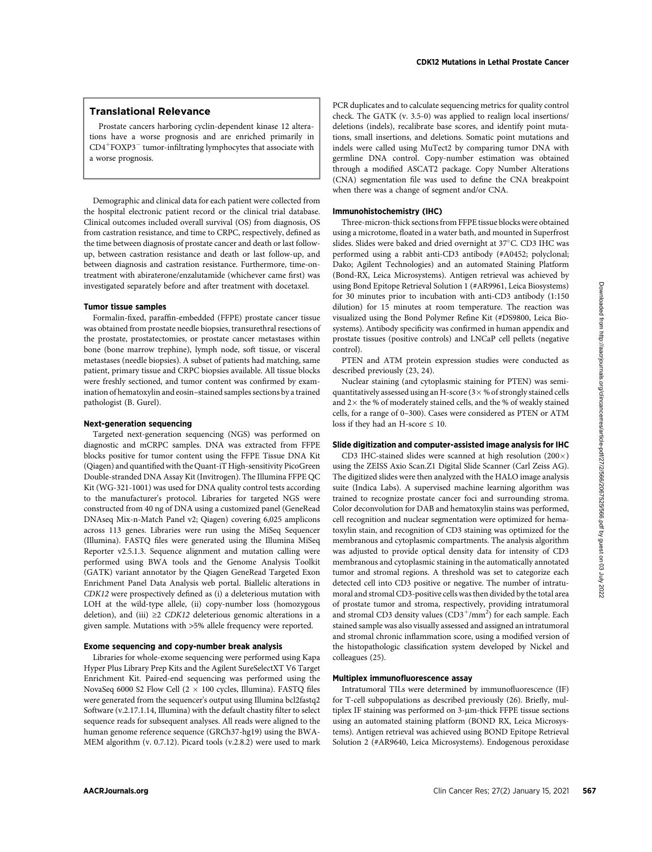## Translational Relevance

Prostate cancers harboring cyclin-dependent kinase 12 alterations have a worse prognosis and are enriched primarily in  $CD4+FOXP3-$  tumor-infiltrating lymphocytes that associate with a worse prognosis.

Demographic and clinical data for each patient were collected from the hospital electronic patient record or the clinical trial database. Clinical outcomes included overall survival (OS) from diagnosis, OS from castration resistance, and time to CRPC, respectively, defined as the time between diagnosis of prostate cancer and death or last followup, between castration resistance and death or last follow-up, and between diagnosis and castration resistance. Furthermore, time-ontreatment with abiraterone/enzalutamide (whichever came first) was investigated separately before and after treatment with docetaxel.

## Tumor tissue samples

Formalin-fixed, paraffin-embedded (FFPE) prostate cancer tissue was obtained from prostate needle biopsies, transurethral resections of the prostate, prostatectomies, or prostate cancer metastases within bone (bone marrow trephine), lymph node, soft tissue, or visceral metastases (needle biopsies). A subset of patients had matching, same patient, primary tissue and CRPC biopsies available. All tissue blocks were freshly sectioned, and tumor content was confirmed by examination of hematoxylin and eosin–stained samples sections by a trained pathologist (B. Gurel).

## Next-generation sequencing

Targeted next-generation sequencing (NGS) was performed on diagnostic and mCRPC samples. DNA was extracted from FFPE blocks positive for tumor content using the FFPE Tissue DNA Kit (Qiagen) and quantified with the Quant-iT High-sensitivity PicoGreen Double-stranded DNA Assay Kit (Invitrogen). The Illumina FFPE QC Kit (WG-321-1001) was used for DNA quality control tests according to the manufacturer's protocol. Libraries for targeted NGS were constructed from 40 ng of DNA using a customized panel (GeneRead DNAseq Mix-n-Match Panel v2; Qiagen) covering 6,025 amplicons across 113 genes. Libraries were run using the MiSeq Sequencer (Illumina). FASTQ files were generated using the Illumina MiSeq Reporter v2.5.1.3. Sequence alignment and mutation calling were performed using BWA tools and the Genome Analysis Toolkit (GATK) variant annotator by the Qiagen GeneRead Targeted Exon Enrichment Panel Data Analysis web portal. Biallelic alterations in CDK12 were prospectively defined as (i) a deleterious mutation with LOH at the wild-type allele, (ii) copy-number loss (homozygous deletion), and (iii)  $\geq$ 2 CDK12 deleterious genomic alterations in a given sample. Mutations with >5% allele frequency were reported.

### Exome sequencing and copy-number break analysis

Libraries for whole-exome sequencing were performed using Kapa Hyper Plus Library Prep Kits and the Agilent SureSelectXT V6 Target Enrichment Kit. Paired-end sequencing was performed using the NovaSeq 6000 S2 Flow Cell  $(2 \times 100 \text{ cycles}, \text{Illumina})$ . FASTQ files were generated from the sequencer's output using Illumina bcl2fastq2 Software (v.2.17.1.14, Illumina) with the default chastity filter to select sequence reads for subsequent analyses. All reads were aligned to the human genome reference sequence (GRCh37-hg19) using the BWA-MEM algorithm (v. 0.7.12). Picard tools (v.2.8.2) were used to mark PCR duplicates and to calculate sequencing metrics for quality control check. The GATK (v. 3.5-0) was applied to realign local insertions/ deletions (indels), recalibrate base scores, and identify point mutations, small insertions, and deletions. Somatic point mutations and indels were called using MuTect2 by comparing tumor DNA with germline DNA control. Copy-number estimation was obtained through a modified ASCAT2 package. Copy Number Alterations (CNA) segmentation file was used to define the CNA breakpoint when there was a change of segment and/or CNA.

#### Immunohistochemistry (IHC)

Three-micron-thick sections from FFPE tissue blocks were obtained using a microtome, floated in a water bath, and mounted in Superfrost slides. Slides were baked and dried overnight at 37°C. CD3 IHC was performed using a rabbit anti-CD3 antibody (#A0452; polyclonal; Dako; Agilent Technologies) and an automated Staining Platform (Bond-RX, Leica Microsystems). Antigen retrieval was achieved by using Bond Epitope Retrieval Solution 1 (#AR9961, Leica Biosystems) for 30 minutes prior to incubation with anti-CD3 antibody (1:150 dilution) for 15 minutes at room temperature. The reaction was visualized using the Bond Polymer Refine Kit (#DS9800, Leica Biosystems). Antibody specificity was confirmed in human appendix and prostate tissues (positive controls) and LNCaP cell pellets (negative control).

PTEN and ATM protein expression studies were conducted as described previously (23, 24).

Nuclear staining (and cytoplasmic staining for PTEN) was semiquantitatively assessed using an H-score  $(3 \times \%$  of strongly stained cells and  $2\times$  the % of moderately stained cells, and the % of weakly stained cells, for a range of 0–300). Cases were considered as PTEN or ATM loss if they had an H-score  $\leq 10$ .

#### Slide digitization and computer-assisted image analysis for IHC

CD3 IHC-stained slides were scanned at high resolution  $(200 \times)$ using the ZEISS Axio Scan.Z1 Digital Slide Scanner (Carl Zeiss AG). The digitized slides were then analyzed with the HALO image analysis suite (Indica Labs). A supervised machine learning algorithm was trained to recognize prostate cancer foci and surrounding stroma. Color deconvolution for DAB and hematoxylin stains was performed, cell recognition and nuclear segmentation were optimized for hematoxylin stain, and recognition of CD3 staining was optimized for the membranous and cytoplasmic compartments. The analysis algorithm was adjusted to provide optical density data for intensity of CD3 membranous and cytoplasmic staining in the automatically annotated tumor and stromal regions. A threshold was set to categorize each detected cell into CD3 positive or negative. The number of intratumoral and stromal CD3-positive cells was then divided by the total area of prostate tumor and stroma, respectively, providing intratumoral and stromal CD3 density values  $(CD3^{+}/mm^{2})$  for each sample. Each stained sample was also visually assessed and assigned an intratumoral and stromal chronic inflammation score, using a modified version of the histopathologic classification system developed by Nickel and colleagues (25).

## Multiplex immunofluorescence assay

Intratumoral TILs were determined by immunofluorescence (IF) for T-cell subpopulations as described previously (26). Briefly, multiplex IF staining was performed on  $3$ - $\mu$ m-thick FFPE tissue sections using an automated staining platform (BOND RX, Leica Microsystems). Antigen retrieval was achieved using BOND Epitope Retrieval Solution 2 (#AR9640, Leica Microsystems). Endogenous peroxidase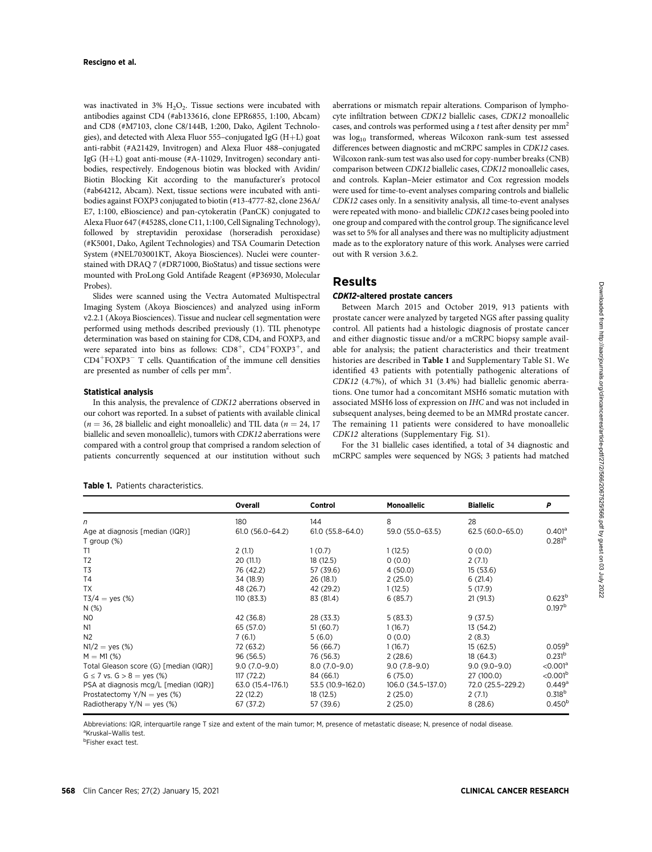was inactivated in  $3\%$  H<sub>2</sub>O<sub>2</sub>. Tissue sections were incubated with antibodies against CD4 (#ab133616, clone EPR6855, 1:100, Abcam) and CD8 (#M7103, clone C8/144B, 1:200, Dako, Agilent Technologies), and detected with Alexa Fluor  $555$ -conjugated IgG (H+L) goat anti-rabbit (#A21429, Invitrogen) and Alexa Fluor 488–conjugated IgG (H+L) goat anti-mouse (#A-11029, Invitrogen) secondary antibodies, respectively. Endogenous biotin was blocked with Avidin/ Biotin Blocking Kit according to the manufacturer's protocol (#ab64212, Abcam). Next, tissue sections were incubated with antibodies against FOXP3 conjugated to biotin (#13-4777-82, clone 236A/ E7, 1:100, eBioscience) and pan-cytokeratin (PanCK) conjugated to Alexa Fluor 647 (#4528S, clone C11, 1:100, Cell Signaling Technology), followed by streptavidin peroxidase (horseradish peroxidase) (#K5001, Dako, Agilent Technologies) and TSA Coumarin Detection System (#NEL703001KT, Akoya Biosciences). Nuclei were counterstained with DRAQ 7 (#DR71000, BioStatus) and tissue sections were mounted with ProLong Gold Antifade Reagent (#P36930, Molecular Probes).

Slides were scanned using the Vectra Automated Multispectral Imaging System (Akoya Biosciences) and analyzed using inForm v2.2.1 (Akoya Biosciences). Tissue and nuclear cell segmentation were performed using methods described previously (1). TIL phenotype determination was based on staining for CD8, CD4, and FOXP3, and were separated into bins as follows:  $CD8^+$ ,  $CD4^+$ FOXP3<sup>+</sup>, and CD4<sup>+</sup>FOXP3<sup>-</sup> T cells. Quantification of the immune cell densities are presented as number of cells per mm<sup>2</sup>.

### Statistical analysis

In this analysis, the prevalence of CDK12 aberrations observed in our cohort was reported. In a subset of patients with available clinical  $(n = 36, 28$  biallelic and eight monoallelic) and TIL data  $(n = 24, 17)$ biallelic and seven monoallelic), tumors with CDK12 aberrations were compared with a control group that comprised a random selection of patients concurrently sequenced at our institution without such

aberrations or mismatch repair alterations. Comparison of lymphocyte infiltration between CDK12 biallelic cases, CDK12 monoallelic cases, and controls was performed using a t test after density per  $mm<sup>2</sup>$ was log<sub>10</sub> transformed, whereas Wilcoxon rank-sum test assessed differences between diagnostic and mCRPC samples in CDK12 cases. Wilcoxon rank-sum test was also used for copy-number breaks (CNB) comparison between CDK12 biallelic cases, CDK12 monoallelic cases, and controls. Kaplan–Meier estimator and Cox regression models were used for time-to-event analyses comparing controls and biallelic CDK12 cases only. In a sensitivity analysis, all time-to-event analyses were repeated with mono- and biallelic CDK12 cases being pooled into one group and compared with the control group. The significance level was set to 5% for all analyses and there was no multiplicity adjustment made as to the exploratory nature of this work. Analyses were carried out with R version 3.6.2.

## Results

### CDK12-altered prostate cancers

Between March 2015 and October 2019, 913 patients with prostate cancer were analyzed by targeted NGS after passing quality control. All patients had a histologic diagnosis of prostate cancer and either diagnostic tissue and/or a mCRPC biopsy sample available for analysis; the patient characteristics and their treatment histories are described in Table 1 and Supplementary Table S1. We identified 43 patients with potentially pathogenic alterations of CDK12 (4.7%), of which 31 (3.4%) had biallelic genomic aberrations. One tumor had a concomitant MSH6 somatic mutation with associated MSH6 loss of expression on IHC and was not included in subsequent analyses, being deemed to be an MMRd prostate cancer. The remaining 11 patients were considered to have monoallelic CDK12 alterations (Supplementary Fig. S1).

For the 31 biallelic cases identified, a total of 34 diagnostic and mCRPC samples were sequenced by NGS; 3 patients had matched

Table 1. Patients characteristics.

|                                        | Overall             | Control           | <b>Monoallelic</b> | <b>Biallelic</b>  | P                      |
|----------------------------------------|---------------------|-------------------|--------------------|-------------------|------------------------|
| n                                      | 180                 | 144               | 8                  | 28                |                        |
| Age at diagnosis [median (IQR)]        | $61.0(56.0 - 64.2)$ | $61.0(55.8-64.0)$ | 59.0 (55.0-63.5)   | 62.5 (60.0-65.0)  | 0.401 <sup>a</sup>     |
| T group $(\%)$                         |                     |                   |                    |                   | 0.281 <sup>b</sup>     |
| T1                                     | 2(1.1)              | 1(0.7)            | 1(12.5)            | 0(0.0)            |                        |
| T <sub>2</sub>                         | 20(11.1)            | 18(12.5)          | 0(0.0)             | 2(7.1)            |                        |
| T <sub>3</sub>                         | 76 (42.2)           | 57 (39.6)         | 4(50.0)            | 15(53.6)          |                        |
| T <sub>4</sub>                         | 34 (18.9)           | 26 (18.1)         | 2(25.0)            | 6(21.4)           |                        |
| TX                                     | 48 (26.7)           | 42 (29.2)         | 1(12.5)            | 5(17.9)           |                        |
| $T3/4 = ves$ (%)                       | 110(83.3)           | 83 (81.4)         | 6(85.7)            | 21(91.3)          | $0.623^{b}$            |
| $N$ (%)                                |                     |                   |                    |                   | 0.197 <sup>b</sup>     |
| N <sub>0</sub>                         | 42 (36.8)           | 28 (33.3)         | 5(83.3)            | 9(37.5)           |                        |
| N <sub>1</sub>                         | 65 (57.0)           | 51(60.7)          | 1(16.7)            | 13(54.2)          |                        |
| N <sub>2</sub>                         | 7(6.1)              | 5(6.0)            | 0(0.0)             | 2(8.3)            |                        |
| $N1/2 = yes (%)$                       | 72 (63.2)           | 56 (66.7)         | 1(16.7)            | 15(62.5)          | 0.059 <sup>k</sup>     |
| $M = M1$ (%)                           | 96 (56.5)           | 76 (56.3)         | 2(28.6)            | 18 (64.3)         | 0.231 <sup>b</sup>     |
| Total Gleason score (G) [median (IQR)] | $9.0(7.0-9.0)$      | $8.0(7.0-9.0)$    | $9.0(7.8-9.0)$     | $9.0(9.0-9.0)$    | $<$ 0.001 <sup>a</sup> |
| $G \le 7$ vs. $G > 8 =$ yes (%)        | 117(72.2)           | 84 (66.1)         | 6(75.0)            | 27 (100.0)        | $<$ 0.001 <sup>b</sup> |
| PSA at diagnosis mcg/L [median (IQR)]  | 63.0 (15.4-176.1)   | 53.5 (10.9-162.0) | 106.0 (34.5–137.0) | 72.0 (25.5-229.2) | $0.449$ <sup>a</sup>   |
| Prostatectomy $Y/N = yes$ (%)          | 22(12.2)            | 18(12.5)          | 2(25.0)            | 2(7.1)            | 0.318 <sup>b</sup>     |
| Radiotherapy $Y/N = \text{ves } (\%)$  | 67 (37.2)           | 57 (39.6)         | 2(25.0)            | 8(28.6)           | $0.450^{b}$            |
|                                        |                     |                   |                    |                   |                        |

Abbreviations: IQR, interquartile range T size and extent of the main tumor; M, presence of metastatic disease; N, presence of nodal disease.

<sup>a</sup>Kruskal-Wallis test.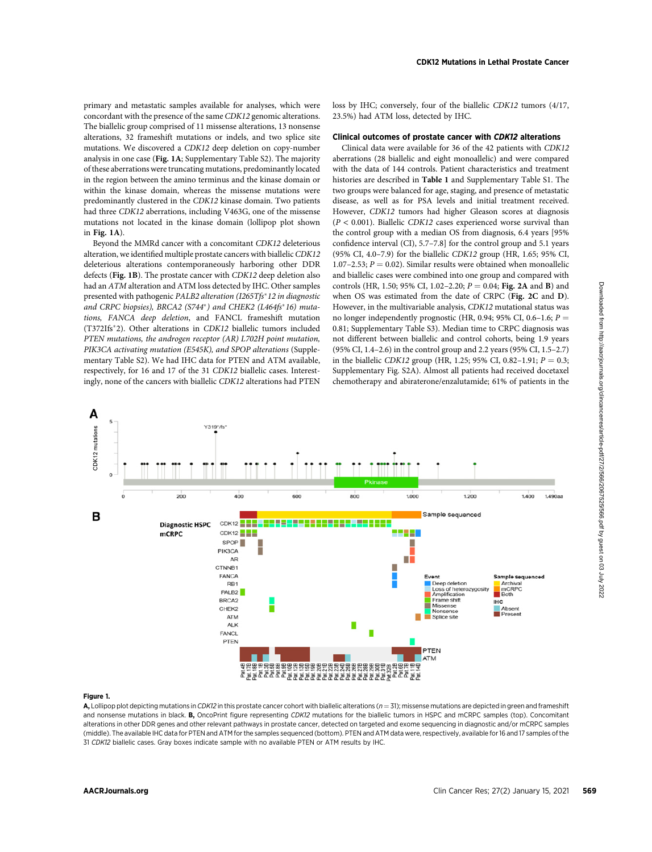primary and metastatic samples available for analyses, which were concordant with the presence of the same CDK12 genomic alterations. The biallelic group comprised of 11 missense alterations, 13 nonsense alterations, 32 frameshift mutations or indels, and two splice site mutations. We discovered a CDK12 deep deletion on copy-number analysis in one case (Fig. 1A; Supplementary Table S2). The majority of these aberrations were truncating mutations, predominantly located in the region between the amino terminus and the kinase domain or within the kinase domain, whereas the missense mutations were predominantly clustered in the CDK12 kinase domain. Two patients had three CDK12 aberrations, including V463G, one of the missense mutations not located in the kinase domain (lollipop plot shown in Fig. 1A).

Beyond the MMRd cancer with a concomitant CDK12 deleterious alteration, we identified multiple prostate cancers with biallelic CDK12 deleterious alterations contemporaneously harboring other DDR defects (Fig. 1B). The prostate cancer with CDK12 deep deletion also had an ATM alteration and ATM loss detected by IHC. Other samples presented with pathogenic PALB2 alteration (I265Tfs\*12 in diagnostic and CRPC biopsies), BRCA2 (S744\*) and CHEK2 (L464fs\*16) mutations, FANCA deep deletion, and FANCL frameshift mutation (T372Ifs<sup>\*</sup>2). Other alterations in CDK12 biallelic tumors included PTEN mutations, the androgen receptor (AR) L702H point mutation, PIK3CA activating mutation (E545K), and SPOP alterations (Supplementary Table S2). We had IHC data for PTEN and ATM available, respectively, for 16 and 17 of the 31 CDK12 biallelic cases. Interestingly, none of the cancers with biallelic CDK12 alterations had PTEN

loss by IHC; conversely, four of the biallelic CDK12 tumors (4/17, 23.5%) had ATM loss, detected by IHC.

### Clinical outcomes of prostate cancer with CDK12 alterations

Clinical data were available for 36 of the 42 patients with CDK12 aberrations (28 biallelic and eight monoallelic) and were compared with the data of 144 controls. Patient characteristics and treatment histories are described in Table 1 and Supplementary Table S1. The two groups were balanced for age, staging, and presence of metastatic disease, as well as for PSA levels and initial treatment received. However, CDK12 tumors had higher Gleason scores at diagnosis  $(P < 0.001)$ . Biallelic CDK12 cases experienced worse survival than the control group with a median OS from diagnosis, 6.4 years [95% confidence interval (CI), 5.7–7.8] for the control group and 5.1 years (95% CI, 4.0–7.9) for the biallelic CDK12 group (HR, 1.65; 95% CI, 1.07–2.53;  $P = 0.02$ ). Similar results were obtained when monoallelic and biallelic cases were combined into one group and compared with controls (HR, 1.50; 95% CI, 1.02-2.20;  $P = 0.04$ ; Fig. 2A and B) and when OS was estimated from the date of CRPC (Fig. 2C and D). However, in the multivariable analysis, CDK12 mutational status was no longer independently prognostic (HR, 0.94; 95% CI, 0.6–1.6;  $P =$ 0.81; Supplementary Table S3). Median time to CRPC diagnosis was not different between biallelic and control cohorts, being 1.9 years (95% CI, 1.4–2.6) in the control group and 2.2 years (95% CI, 1.5–2.7) in the biallelic CDK12 group (HR, 1.25; 95% CI, 0.82–1.91;  $P = 0.3$ ; Supplementary Fig. S2A). Almost all patients had received docetaxel chemotherapy and abiraterone/enzalutamide; 61% of patients in the



#### Figure 1.

A, Lollipop plot depicting mutations in CDK12 in this prostate cancer cohort with biallelic alterations ( $n = 31$ ); missense mutations are depicted in green and frameshift and nonsense mutations in black. B, OncoPrint figure representing CDK12 mutations for the biallelic tumors in HSPC and mCRPC samples (top). Concomitant alterations in other DDR genes and other relevant pathways in prostate cancer, detected on targeted and exome sequencing in diagnostic and/or mCRPC samples (middle). The available IHC data for PTEN and ATM for the samples sequenced (bottom). PTEN and ATM data were, respectively, available for 16 and 17 samples of the 31 CDK12 biallelic cases. Gray boxes indicate sample with no available PTEN or ATM results by IHC.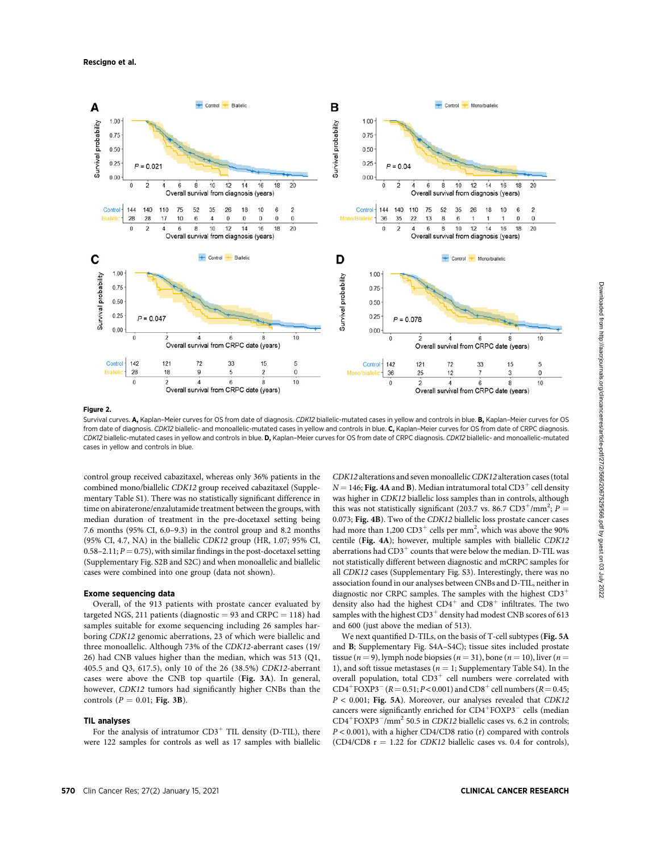

#### Figure 2.

Survival curves. A, Kaplan-Meier curves for OS from date of diagnosis. CDK12 biallelic-mutated cases in yellow and controls in blue. B, Kaplan-Meier curves for OS from date of diagnosis. CDK12 biallelic- and monoallelic-mutated cases in yellow and controls in blue. C, Kaplan-Meier curves for OS from date of CRPC diagnosis. CDK12 biallelic-mutated cases in yellow and controls in blue. D, Kaplan-Meier curves for OS from date of CRPC diagnosis. CDK12 biallelic- and monoallelic-mutated cases in yellow and controls in blue.

control group received cabazitaxel, whereas only 36% patients in the combined mono/biallelic CDK12 group received cabazitaxel (Supplementary Table S1). There was no statistically significant difference in time on abiraterone/enzalutamide treatment between the groups, with median duration of treatment in the pre-docetaxel setting being 7.6 months (95% CI, 6.0–9.3) in the control group and 8.2 months (95% CI, 4.7, NA) in the biallelic CDK12 group (HR, 1.07; 95% CI, 0.58–2.11;  $P = 0.75$ ), with similar findings in the post-docetaxel setting (Supplementary Fig. S2B and S2C) and when monoallelic and biallelic cases were combined into one group (data not shown).

### Exome sequencing data

Overall, of the 913 patients with prostate cancer evaluated by targeted NGS, 211 patients (diagnostic  $= 93$  and CRPC  $= 118$ ) had samples suitable for exome sequencing including 26 samples harboring CDK12 genomic aberrations, 23 of which were biallelic and three monoallelic. Although 73% of the CDK12-aberrant cases (19/ 26) had CNB values higher than the median, which was 513 (Q1, 405.5 and Q3, 617.5), only 10 of the 26 (38.5%) CDK12-aberrant cases were above the CNB top quartile (Fig. 3A). In general, however, CDK12 tumors had significantly higher CNBs than the controls ( $P = 0.01$ ; Fig. 3B).

#### TIL analyses

For the analysis of intratumor  $CD3^+$  TIL density (D-TIL), there were 122 samples for controls as well as 17 samples with biallelic CDK12 alterations and seven monoallelic CDK12 alteration cases (total  $N = 146$ ; Fig. 4A and B). Median intratumoral total CD3<sup>+</sup> cell density was higher in CDK12 biallelic loss samples than in controls, although this was not statistically significant (203.7 vs. 86.7  $CD3^+ / mm^2$ ;  $P =$ 0.073; Fig. 4B). Two of the CDK12 biallelic loss prostate cancer cases had more than 1,200  $CD3^+$  cells per mm<sup>2</sup>, which was above the 90% centile (Fig. 4A); however, multiple samples with biallelic CDK12 aberrations had  $CD3^+$  counts that were below the median. D-TIL was not statistically different between diagnostic and mCRPC samples for all CDK12 cases (Supplementary Fig. S3). Interestingly, there was no association found in our analyses between CNBs and D-TIL, neither in diagnostic nor CRPC samples. The samples with the highest  $CD3<sup>+</sup>$ density also had the highest  $CD4^+$  and  $CD8^+$  infiltrates. The two samples with the highest  $CD3^+$  density had modest CNB scores of 613 and 600 (just above the median of 513).

We next quantified D-TILs, on the basis of T-cell subtypes (Fig. 5A and B; Supplementary Fig. S4A–S4C); tissue sites included prostate tissue ( $n = 9$ ), lymph node biopsies ( $n = 31$ ), bone ( $n = 10$ ), liver ( $n =$ 1), and soft tissue metastases ( $n = 1$ ; Supplementary Table S4). In the overall population, total  $CD3^+$  cell numbers were correlated with  $CD4^+$  FOXP3<sup>-</sup> (*R* = 0.51; *P* < 0.001) and CD8<sup>+</sup> cell numbers (*R* = 0.45;  $P < 0.001$ ; Fig. 5A). Moreover, our analyses revealed that CDK12 cancers were significantly enriched for CD4+FOXP3<sup>-</sup> cells (median  $CD4+FOXP3-/mm^2$  50.5 in *CDK12* biallelic cases vs. 6.2 in controls; P < 0.001), with a higher CD4/CD8 ratio (r) compared with controls (CD4/CD8  $r = 1.22$  for CDK12 biallelic cases vs. 0.4 for controls),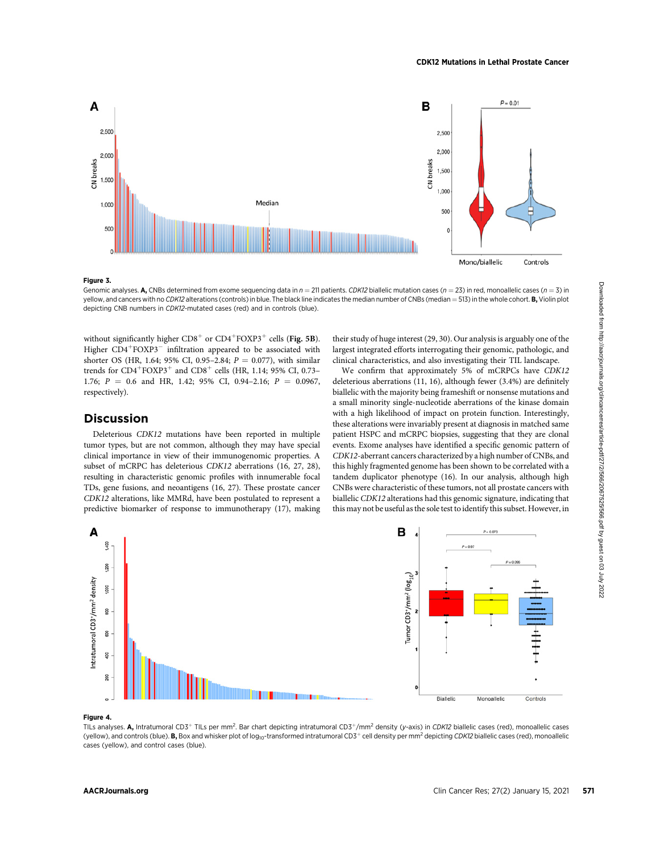

#### Figure 3.

Genomic analyses. A, CNBs determined from exome sequencing data in  $n = 211$  patients. CDK12 biallelic mutation cases ( $n = 23$ ) in red, monoallelic cases ( $n = 3$ ) in yellow, and cancers with no CDK12 alterations (controls) in blue. The black line indicates the median number of CNBs (median = 513) in the whole cohort. **B**, Violin plot depicting CNB numbers in CDK12-mutated cases (red) and in controls (blue).

without significantly higher  $CD8^+$  or  $CD4^+$  FOXP3<sup>+</sup> cells (Fig. 5B). Higher  $CD4+FOXP3^-$  infiltration appeared to be associated with shorter OS (HR, 1.64; 95% CI, 0.95–2.84;  $P = 0.077$ ), with similar trends for  $CD4+FOXP3+$  and  $CD8+$  cells (HR, 1.14; 95% CI, 0.73– 1.76;  $P = 0.6$  and HR, 1.42; 95% CI, 0.94-2.16;  $P = 0.0967$ , respectively).

## Discussion

Deleterious CDK12 mutations have been reported in multiple tumor types, but are not common, although they may have special clinical importance in view of their immunogenomic properties. A subset of mCRPC has deleterious CDK12 aberrations (16, 27, 28), resulting in characteristic genomic profiles with innumerable focal TDs, gene fusions, and neoantigens (16, 27). These prostate cancer CDK12 alterations, like MMRd, have been postulated to represent a predictive biomarker of response to immunotherapy (17), making their study of huge interest (29, 30). Our analysis is arguably one of the largest integrated efforts interrogating their genomic, pathologic, and clinical characteristics, and also investigating their TIL landscape.

We confirm that approximately 5% of mCRPCs have CDK12 deleterious aberrations (11, 16), although fewer (3.4%) are definitely biallelic with the majority being frameshift or nonsense mutations and a small minority single-nucleotide aberrations of the kinase domain with a high likelihood of impact on protein function. Interestingly, these alterations were invariably present at diagnosis in matched same patient HSPC and mCRPC biopsies, suggesting that they are clonal events. Exome analyses have identified a specific genomic pattern of CDK12-aberrant cancers characterized by a high number of CNBs, and this highly fragmented genome has been shown to be correlated with a tandem duplicator phenotype (16). In our analysis, although high CNBs were characteristic of these tumors, not all prostate cancers with biallelic CDK12 alterations had this genomic signature, indicating that this may not be useful as the sole test to identify this subset. However, in



#### Figure 4.

TILs analyses. A, Intratumoral CD3<sup>+</sup> TILs per mm<sup>2</sup>. Bar chart depicting intratumoral CD3<sup>+</sup>/mm<sup>2</sup> density (y-axis) in CDK12 biallelic cases (red), monoallelic cases (yellow), and controls (blue). B, Box and whisker plot of log<sub>10</sub>-transformed intratumoral CD3<sup>+</sup> cell density per mm<sup>2</sup> depicting CDK12 biallelic cases (red), monoallelic cases (yellow), and control cases (blue).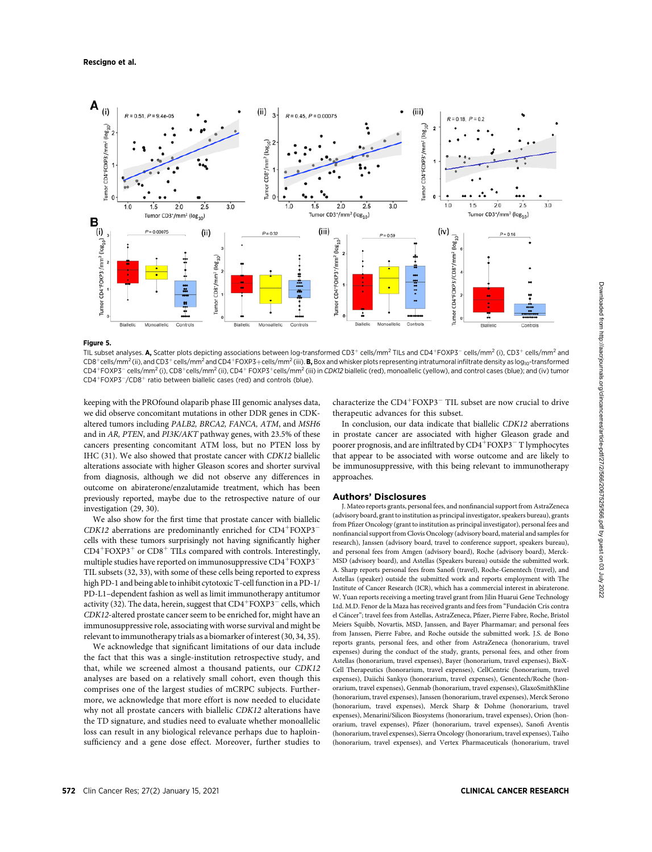#### Rescigno et al.



#### Figure 5.

TIL subset analyses. A, Scatter plots depicting associations between log-transformed CD3<sup>+</sup> cells/mm<sup>2</sup> TILs and CD4<sup>+</sup>FOXP3<sup>-</sup> cells/mm<sup>2</sup> (i), CD3<sup>+</sup> cells/mm<sup>2</sup> and  $CD8^+$ cells/mm<sup>2</sup> (ii), and  $CD3^+$  cells/mm<sup>2</sup> and  $CD4^+$ FOXP3+cells/mm<sup>2</sup> (iii). **B**, Box and whisker plots representing intratumoral infiltrate density as log<sub>10</sub>-transformed CD4<sup>+</sup>FOXP3<sup>-</sup> cells/mm<sup>2</sup> (i), CD8<sup>+</sup>cells/mm<sup>2</sup> (ii), CD4<sup>+</sup> FOXP3<sup>+</sup>cells/mm<sup>2</sup> (iii) in CDK12 biallelic (red), monoallelic (yellow), and control cases (blue); and (iv) tumor  $CD4+FOXP3^-/CD8^+$  ratio between biallelic cases (red) and controls (blue).

keeping with the PROfound olaparib phase III genomic analyses data, we did observe concomitant mutations in other DDR genes in CDKaltered tumors including PALB2, BRCA2, FANCA, ATM, and MSH6 and in AR, PTEN, and PI3K/AKT pathway genes, with 23.5% of these cancers presenting concomitant ATM loss, but no PTEN loss by IHC (31). We also showed that prostate cancer with CDK12 biallelic alterations associate with higher Gleason scores and shorter survival from diagnosis, although we did not observe any differences in outcome on abiraterone/enzalutamide treatment, which has been previously reported, maybe due to the retrospective nature of our investigation (29, 30).

We also show for the first time that prostate cancer with biallelic CDK12 aberrations are predominantly enriched for  $CD4^+FOXP3^$ cells with these tumors surprisingly not having significantly higher  $CD4+FOXP3+$  or  $CD8+$  TILs compared with controls. Interestingly, multiple studies have reported on immunosuppressive CD4 $^{\mathrm{+}}$ FOXP3 $^{\mathrm{-}}$ TIL subsets (32, 33), with some of these cells being reported to express high PD-1 and being able to inhibit cytotoxic T-cell function in a PD-1/ PD-L1–dependent fashion as well as limit immunotherapy antitumor activity (32). The data, herein, suggest that  $CD4^+$ FOXP3 $^-$  cells, which CDK12-altered prostate cancer seem to be enriched for, might have an immunosuppressive role, associating with worse survival and might be relevant to immunotherapy trials as a biomarker of interest (30, 34, 35).

We acknowledge that significant limitations of our data include the fact that this was a single-institution retrospective study, and that, while we screened almost a thousand patients, our CDK12 analyses are based on a relatively small cohort, even though this comprises one of the largest studies of mCRPC subjects. Furthermore, we acknowledge that more effort is now needed to elucidate why not all prostate cancers with biallelic CDK12 alterations have the TD signature, and studies need to evaluate whether monoallelic loss can result in any biological relevance perhaps due to haploinsufficiency and a gene dose effect. Moreover, further studies to

characterize the  $CD4+FOXP3$ <sup>-</sup> TIL subset are now crucial to drive therapeutic advances for this subset.

In conclusion, our data indicate that biallelic CDK12 aberrations in prostate cancer are associated with higher Gleason grade and poorer prognosis, and are infiltrated by  $CD4^+$  FOXP3 $^-$  T lymphocytes that appear to be associated with worse outcome and are likely to be immunosuppressive, with this being relevant to immunotherapy approaches.

#### Authors' Disclosures

J. Mateo reports grants, personal fees, and nonfinancial support from AstraZeneca (advisory board, grant to institution as principal investigator, speakers bureau), grants from Pfizer Oncology (grant to institution as principal investigator), personal fees and nonfinancial support from Clovis Oncology (advisory board, material and samples for research), Janssen (advisory board, travel to conference support, speakers bureau), and personal fees from Amgen (advisory board), Roche (advisory board), Merck-MSD (advisory board), and Astellas (Speakers bureau) outside the submitted work. A. Sharp reports personal fees from Sanofi (travel), Roche-Genentech (travel), and Astellas (speaker) outside the submitted work and reports employment with The Institute of Cancer Research (ICR), which has a commercial interest in abiraterone. W. Yuan reports receiving a meeting travel grant from Jilin Huarui Gene Technology Ltd. M.D. Fenor de la Maza has received grants and fees from "Fundación Cris contra el Cancer"; travel fees from Astellas, AstraZeneca, Pfizer, Pierre Fabre, Roche, Bristol Meiers Squibb, Novartis, MSD, Janssen, and Bayer Pharmamar; and personal fees from Janssen, Pierre Fabre, and Roche outside the submitted work. J.S. de Bono reports grants, personal fees, and other from AstraZeneca (honorarium, travel expenses) during the conduct of the study, grants, personal fees, and other from Astellas (honorarium, travel expenses), Bayer (honorarium, travel expenses), BioX-Cell Therapeutics (honorarium, travel expenses), CellCentric (honorarium, travel expenses), Daiichi Sankyo (honorarium, travel expenses), Genentech/Roche (honorarium, travel expenses), Genmab (honorarium, travel expenses), GlaxoSmithKline (honorarium, travel expenses), Janssen (honorarium, travel expenses), Merck Serono (honorarium, travel expenses), Merck Sharp & Dohme (honorarium, travel expenses), Menarini/Silicon Biosystems (honorarium, travel expenses), Orion (honorarium, travel expenses), Pfizer (honorarium, travel expenses), Sanofi Aventis (honorarium, travel expenses), Sierra Oncology (honorarium, travel expenses), Taiho (honorarium, travel expenses), and Vertex Pharmaceuticals (honorarium, travel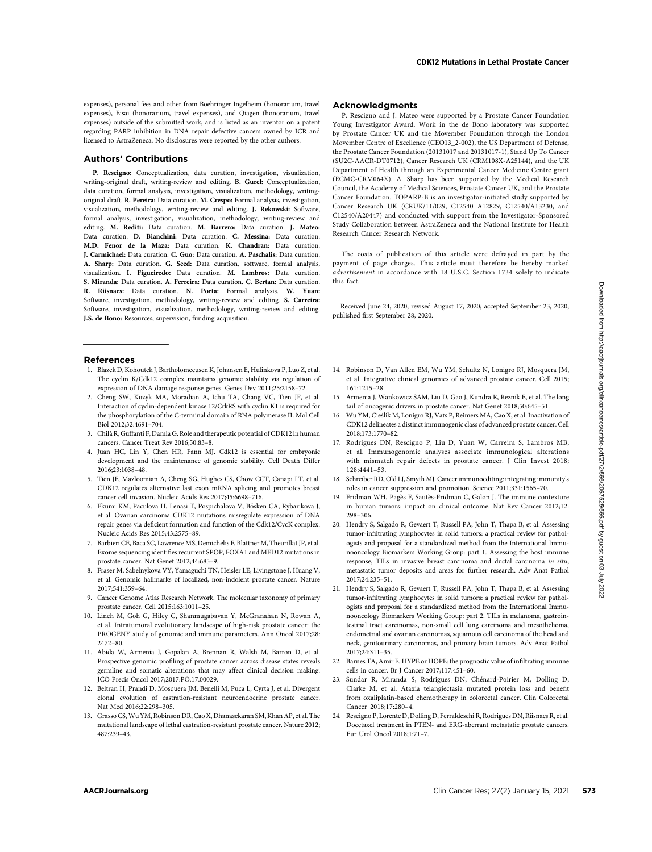expenses), personal fees and other from Boehringer Ingelheim (honorarium, travel expenses), Eisai (honorarium, travel expenses), and Qiagen (honorarium, travel expenses) outside of the submitted work, and is listed as an inventor on a patent regarding PARP inhibition in DNA repair defective cancers owned by ICR and licensed to AstraZeneca. No disclosures were reported by the other authors.

#### Authors' Contributions

P. Rescigno: Conceptualization, data curation, investigation, visualization, writing-original draft, writing-review and editing. B. Gurel: Conceptualization, data curation, formal analysis, investigation, visualization, methodology, writingoriginal draft. R. Pereira: Data curation. M. Crespo: Formal analysis, investigation, visualization, methodology, writing-review and editing. J. Rekowski: Software, formal analysis, investigation, visualization, methodology, writing-review and editing. M. Rediti: Data curation. M. Barrero: Data curation. J. Mateo: Data curation. D. Bianchini: Data curation. C. Messina: Data curation. M.D. Fenor de la Maza: Data curation. K. Chandran: Data curation. J. Carmichael: Data curation. C. Guo: Data curation. A. Paschalis: Data curation. A. Sharp: Data curation. G. Seed: Data curation, software, formal analysis, visualization. I. Figueiredo: Data curation. M. Lambros: Data curation. S. Miranda: Data curation. A. Ferreira: Data curation. C. Bertan: Data curation. R. Riisnaes: Data curation. N. Porta: Formal analysis. W. Yuan: Software, investigation, methodology, writing-review and editing. S. Carreira: Software, investigation, visualization, methodology, writing-review and editing. J.S. de Bono: Resources, supervision, funding acquisition.

#### References

- 1. Blazek D, Kohoutek J, Bartholomeeusen K, Johansen E, Hulinkova P, Luo Z, et al. The cyclin K/Cdk12 complex maintains genomic stability via regulation of expression of DNA damage response genes. Genes Dev 2011;25:2158–72.
- 2. Cheng SW, Kuzyk MA, Moradian A, Ichu TA, Chang VC, Tien JF, et al. Interaction of cyclin-dependent kinase 12/CrkRS with cyclin K1 is required for the phosphorylation of the C-terminal domain of RNA polymerase II. Mol Cell Biol 2012;32:4691–704.
- 3. Chila R, Guffanti F, Damia G. Role and therapeutic potential of CDK12 in human cancers. Cancer Treat Rev 2016;50:83–8.
- 4. Juan HC, Lin Y, Chen HR, Fann MJ. Cdk12 is essential for embryonic development and the maintenance of genomic stability. Cell Death Differ 2016;23:1038–48.
- 5. Tien JF, Mazloomian A, Cheng SG, Hughes CS, Chow CCT, Canapi LT, et al. CDK12 regulates alternative last exon mRNA splicing and promotes breast cancer cell invasion. Nucleic Acids Res 2017;45:6698–716.
- 6. Ekumi KM, Paculova H, Lenasi T, Pospichalova V, Bösken CA, Rybarikova J, et al. Ovarian carcinoma CDK12 mutations misregulate expression of DNA repair genes via deficient formation and function of the Cdk12/CycK complex. Nucleic Acids Res 2015;43:2575–89.
- 7. Barbieri CE, Baca SC, Lawrence MS, Demichelis F, Blattner M, Theurillat JP, et al. Exome sequencing identifies recurrent SPOP, FOXA1 and MED12 mutations in prostate cancer. Nat Genet 2012;44:685–9.
- 8. Fraser M, Sabelnykova VY, Yamaguchi TN, Heisler LE, Livingstone J, Huang V, et al. Genomic hallmarks of localized, non-indolent prostate cancer. Nature 2017;541:359–64.
- 9. Cancer Genome Atlas Research Network. The molecular taxonomy of primary prostate cancer. Cell 2015;163:1011–25.
- 10. Linch M, Goh G, Hiley C, Shanmugabavan Y, McGranahan N, Rowan A, et al. Intratumoral evolutionary landscape of high-risk prostate cancer: the PROGENY study of genomic and immune parameters. Ann Oncol 2017;28: 2472–80.
- 11. Abida W, Armenia J, Gopalan A, Brennan R, Walsh M, Barron D, et al. Prospective genomic profiling of prostate cancer across disease states reveals germline and somatic alterations that may affect clinical decision making. JCO Precis Oncol 2017;2017:PO.17.00029.
- 12. Beltran H, Prandi D, Mosquera JM, Benelli M, Puca L, Cyrta J, et al. Divergent clonal evolution of castration-resistant neuroendocrine prostate cancer. Nat Med 2016;22:298–305.
- 13. Grasso CS, Wu YM, Robinson DR, Cao X, Dhanasekaran SM, Khan AP, et al. The mutational landscape of lethal castration-resistant prostate cancer. Nature 2012; 487:239–43.

#### Acknowledgments

P. Rescigno and J. Mateo were supported by a Prostate Cancer Foundation Young Investigator Award. Work in the de Bono laboratory was supported by Prostate Cancer UK and the Movember Foundation through the London Movember Centre of Excellence (CEO13\_2-002), the US Department of Defense, the Prostate Cancer Foundation (20131017 and 20131017-1), Stand Up To Cancer (SU2C-AACR-DT0712), Cancer Research UK (CRM108X-A25144), and the UK Department of Health through an Experimental Cancer Medicine Centre grant (ECMC-CRM064X). A. Sharp has been supported by the Medical Research Council, the Academy of Medical Sciences, Prostate Cancer UK, and the Prostate Cancer Foundation. TOPARP-B is an investigator-initiated study supported by Cancer Research UK (CRUK/11/029, C12540 A12829, C12540/A13230, and C12540/A20447) and conducted with support from the Investigator-Sponsored Study Collaboration between AstraZeneca and the National Institute for Health Research Cancer Research Network.

The costs of publication of this article were defrayed in part by the payment of page charges. This article must therefore be hereby marked advertisement in accordance with 18 U.S.C. Section 1734 solely to indicate this fact.

Received June 24, 2020; revised August 17, 2020; accepted September 23, 2020; published first September 28, 2020.

- 14. Robinson D, Van Allen EM, Wu YM, Schultz N, Lonigro RJ, Mosquera JM, et al. Integrative clinical genomics of advanced prostate cancer. Cell 2015; 161:1215–28.
- 15. Armenia J, Wankowicz SAM, Liu D, Gao J, Kundra R, Reznik E, et al. The long tail of oncogenic drivers in prostate cancer. Nat Genet 2018;50:645–51.
- 16. Wu YM, Cies´lik M, Lonigro RJ, Vats P, Reimers MA, Cao X, et al. Inactivation of CDK12 delineates a distinct immunogenic class of advanced prostate cancer. Cell 2018;173:1770–82.
- 17. Rodrigues DN, Rescigno P, Liu D, Yuan W, Carreira S, Lambros MB, et al. Immunogenomic analyses associate immunological alterations with mismatch repair defects in prostate cancer. J Clin Invest 2018; 128:4441–53.
- 18. Schreiber RD, Old LJ, Smyth MJ. Cancer immunoediting: integrating immunity's roles in cancer suppression and promotion. Science 2011;331:1565–70.
- 19. Fridman WH, Pages F, Sautes-Fridman C, Galon J. The immune contexture in human tumors: impact on clinical outcome. Nat Rev Cancer 2012;12: 298–306.
- 20. Hendry S, Salgado R, Gevaert T, Russell PA, John T, Thapa B, et al. Assessing tumor-infiltrating lymphocytes in solid tumors: a practical review for pathologists and proposal for a standardized method from the International Immunooncology Biomarkers Working Group: part 1. Assessing the host immune response, TILs in invasive breast carcinoma and ductal carcinoma in situ, metastatic tumor deposits and areas for further research. Adv Anat Pathol 2017;24:235–51.
- 21. Hendry S, Salgado R, Gevaert T, Russell PA, John T, Thapa B, et al. Assessing tumor-infiltrating lymphocytes in solid tumors: a practical review for pathologists and proposal for a standardized method from the International Immunooncology Biomarkers Working Group: part 2. TILs in melanoma, gastrointestinal tract carcinomas, non-small cell lung carcinoma and mesothelioma, endometrial and ovarian carcinomas, squamous cell carcinoma of the head and neck, genitourinary carcinomas, and primary brain tumors. Adv Anat Pathol 2017;24:311–35.
- 22. Barnes TA, Amir E. HYPE or HOPE: the prognostic value of infiltrating immune cells in cancer. Br J Cancer 2017;117:451–60.
- 23. Sundar R, Miranda S, Rodrigues DN, Chenard-Poirier M, Dolling D, Clarke M, et al. Ataxia telangiectasia mutated protein loss and benefit from oxaliplatin-based chemotherapy in colorectal cancer. Clin Colorectal Cancer 2018;17:280–4.
- 24. Rescigno P, Lorente D, Dolling D, Ferraldeschi R, Rodrigues DN, Riisnaes R, et al. Docetaxel treatment in PTEN- and ERG-aberrant metastatic prostate cancers. Eur Urol Oncol 2018;1:71–7.